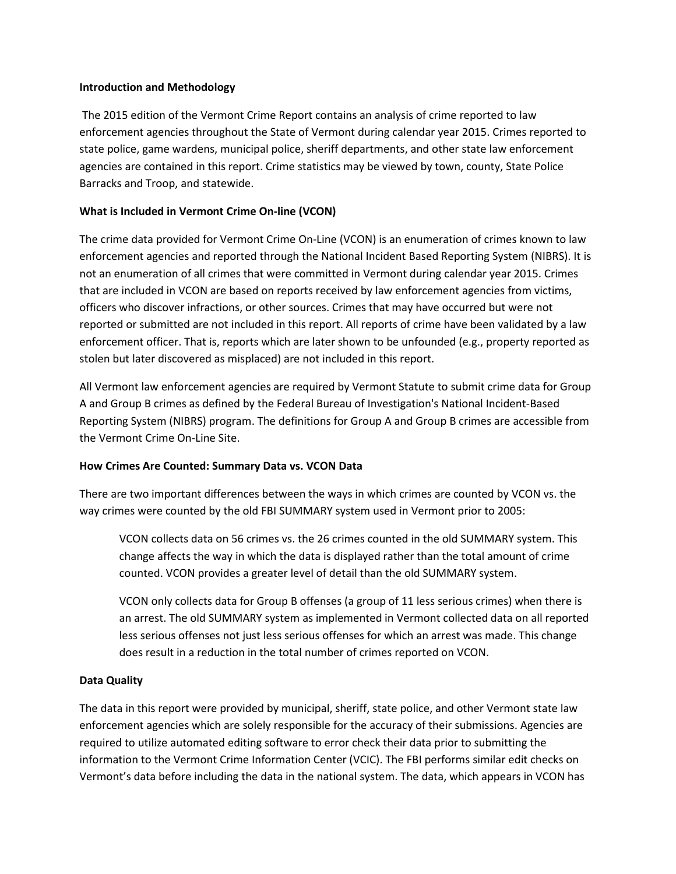#### **Introduction and Methodology**

The 2015 edition of the Vermont Crime Report contains an analysis of crime reported to law enforcement agencies throughout the State of Vermont during calendar year 2015. Crimes reported to state police, game wardens, municipal police, sheriff departments, and other state law enforcement agencies are contained in this report. Crime statistics may be viewed by town, county, State Police Barracks and Troop, and statewide.

# **What is Included in Vermont Crime On-line (VCON)**

The crime data provided for Vermont Crime On-Line (VCON) is an enumeration of crimes known to law enforcement agencies and reported through the National Incident Based Reporting System (NIBRS). It is not an enumeration of all crimes that were committed in Vermont during calendar year 2015. Crimes that are included in VCON are based on reports received by law enforcement agencies from victims, officers who discover infractions, or other sources. Crimes that may have occurred but were not reported or submitted are not included in this report. All reports of crime have been validated by a law enforcement officer. That is, reports which are later shown to be unfounded (e.g., property reported as stolen but later discovered as misplaced) are not included in this report.

All Vermont law enforcement agencies are required by Vermont Statute to submit crime data for Group A and Group B crimes as defined by the Federal Bureau of Investigation's National Incident-Based Reporting System (NIBRS) program. The definitions for Group A and Group B crimes are accessible from the Vermont Crime On-Line Site.

# **How Crimes Are Counted: Summary Data vs. VCON Data**

There are two important differences between the ways in which crimes are counted by VCON vs. the way crimes were counted by the old FBI SUMMARY system used in Vermont prior to 2005:

VCON collects data on 56 crimes vs. the 26 crimes counted in the old SUMMARY system. This change affects the way in which the data is displayed rather than the total amount of crime counted. VCON provides a greater level of detail than the old SUMMARY system.

VCON only collects data for Group B offenses (a group of 11 less serious crimes) when there is an arrest. The old SUMMARY system as implemented in Vermont collected data on all reported less serious offenses not just less serious offenses for which an arrest was made. This change does result in a reduction in the total number of crimes reported on VCON.

# **Data Quality**

The data in this report were provided by municipal, sheriff, state police, and other Vermont state law enforcement agencies which are solely responsible for the accuracy of their submissions. Agencies are required to utilize automated editing software to error check their data prior to submitting the information to the Vermont Crime Information Center (VCIC). The FBI performs similar edit checks on Vermont's data before including the data in the national system. The data, which appears in VCON has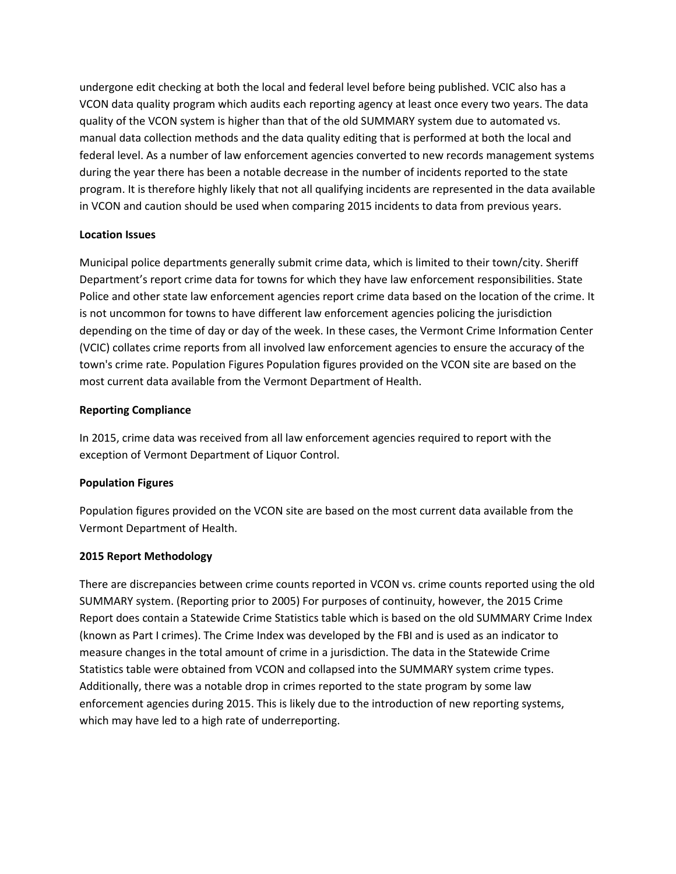undergone edit checking at both the local and federal level before being published. VCIC also has a VCON data quality program which audits each reporting agency at least once every two years. The data quality of the VCON system is higher than that of the old SUMMARY system due to automated vs. manual data collection methods and the data quality editing that is performed at both the local and federal level. As a number of law enforcement agencies converted to new records management systems during the year there has been a notable decrease in the number of incidents reported to the state program. It is therefore highly likely that not all qualifying incidents are represented in the data available in VCON and caution should be used when comparing 2015 incidents to data from previous years.

# **Location Issues**

Municipal police departments generally submit crime data, which is limited to their town/city. Sheriff Department's report crime data for towns for which they have law enforcement responsibilities. State Police and other state law enforcement agencies report crime data based on the location of the crime. It is not uncommon for towns to have different law enforcement agencies policing the jurisdiction depending on the time of day or day of the week. In these cases, the Vermont Crime Information Center (VCIC) collates crime reports from all involved law enforcement agencies to ensure the accuracy of the town's crime rate. Population Figures Population figures provided on the VCON site are based on the most current data available from the Vermont Department of Health.

#### **Reporting Compliance**

In 2015, crime data was received from all law enforcement agencies required to report with the exception of Vermont Department of Liquor Control.

# **Population Figures**

Population figures provided on the VCON site are based on the most current data available from the Vermont Department of Health.

#### **2015 Report Methodology**

There are discrepancies between crime counts reported in VCON vs. crime counts reported using the old SUMMARY system. (Reporting prior to 2005) For purposes of continuity, however, the 2015 Crime Report does contain a Statewide Crime Statistics table which is based on the old SUMMARY Crime Index (known as Part I crimes). The Crime Index was developed by the FBI and is used as an indicator to measure changes in the total amount of crime in a jurisdiction. The data in the Statewide Crime Statistics table were obtained from VCON and collapsed into the SUMMARY system crime types. Additionally, there was a notable drop in crimes reported to the state program by some law enforcement agencies during 2015. This is likely due to the introduction of new reporting systems, which may have led to a high rate of underreporting.